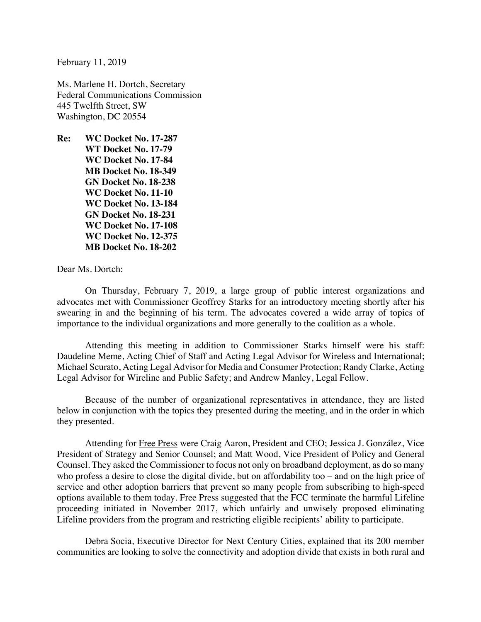February 11, 2019

Ms. Marlene H. Dortch, Secretary Federal Communications Commission 445 Twelfth Street, SW Washington, DC 20554

**Re: WC Docket No. 17-287 WT Docket No. 17-79 WC Docket No. 17-84 MB Docket No. 18-349 GN Docket No. 18-238 WC Docket No. 11-10 WC Docket No. 13-184 GN Docket No. 18-231 WC Docket No. 17-108 WC Docket No. 12-375 MB Docket No. 18-202**

Dear Ms. Dortch:

On Thursday, February 7, 2019, a large group of public interest organizations and advocates met with Commissioner Geoffrey Starks for an introductory meeting shortly after his swearing in and the beginning of his term. The advocates covered a wide array of topics of importance to the individual organizations and more generally to the coalition as a whole.

Attending this meeting in addition to Commissioner Starks himself were his staff: Daudeline Meme, Acting Chief of Staff and Acting Legal Advisor for Wireless and International; Michael Scurato, Acting Legal Advisor for Media and Consumer Protection; Randy Clarke, Acting Legal Advisor for Wireline and Public Safety; and Andrew Manley, Legal Fellow.

Because of the number of organizational representatives in attendance, they are listed below in conjunction with the topics they presented during the meeting, and in the order in which they presented.

Attending for Free Press were Craig Aaron, President and CEO; Jessica J. González, Vice President of Strategy and Senior Counsel; and Matt Wood, Vice President of Policy and General Counsel. They asked the Commissioner to focus not only on broadband deployment, as do so many who profess a desire to close the digital divide, but on affordability too – and on the high price of service and other adoption barriers that prevent so many people from subscribing to high-speed options available to them today. Free Press suggested that the FCC terminate the harmful Lifeline proceeding initiated in November 2017, which unfairly and unwisely proposed eliminating Lifeline providers from the program and restricting eligible recipients' ability to participate.

Debra Socia, Executive Director for Next Century Cities, explained that its 200 member communities are looking to solve the connectivity and adoption divide that exists in both rural and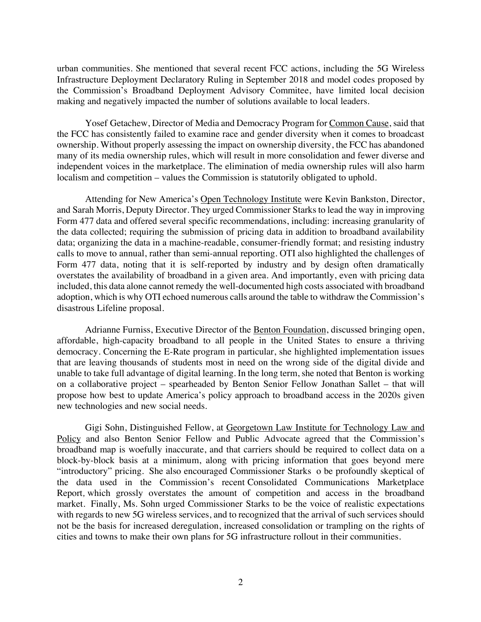urban communities. She mentioned that several recent FCC actions, including the 5G Wireless Infrastructure Deployment Declaratory Ruling in September 2018 and model codes proposed by the Commission's Broadband Deployment Advisory Commitee, have limited local decision making and negatively impacted the number of solutions available to local leaders.

Yosef Getachew, Director of Media and Democracy Program for Common Cause, said that the FCC has consistently failed to examine race and gender diversity when it comes to broadcast ownership. Without properly assessing the impact on ownership diversity, the FCC has abandoned many of its media ownership rules, which will result in more consolidation and fewer diverse and independent voices in the marketplace. The elimination of media ownership rules will also harm localism and competition – values the Commission is statutorily obligated to uphold.

Attending for New America's Open Technology Institute were Kevin Bankston, Director, and Sarah Morris, Deputy Director. They urged Commissioner Starks to lead the way in improving Form 477 data and offered several specific recommendations, including: increasing granularity of the data collected; requiring the submission of pricing data in addition to broadband availability data; organizing the data in a machine-readable, consumer-friendly format; and resisting industry calls to move to annual, rather than semi-annual reporting. OTI also highlighted the challenges of Form 477 data, noting that it is self-reported by industry and by design often dramatically overstates the availability of broadband in a given area. And importantly, even with pricing data included, this data alone cannot remedy the well-documented high costs associated with broadband adoption, which is why OTI echoed numerous calls around the table to withdraw the Commission's disastrous Lifeline proposal.

Adrianne Furniss, Executive Director of the Benton Foundation, discussed bringing open, affordable, high-capacity broadband to all people in the United States to ensure a thriving democracy. Concerning the E-Rate program in particular, she highlighted implementation issues that are leaving thousands of students most in need on the wrong side of the digital divide and unable to take full advantage of digital learning. In the long term, she noted that Benton is working on a collaborative project – spearheaded by Benton Senior Fellow Jonathan Sallet – that will propose how best to update America's policy approach to broadband access in the 2020s given new technologies and new social needs.

Gigi Sohn, Distinguished Fellow, at Georgetown Law Institute for Technology Law and Policy and also Benton Senior Fellow and Public Advocate agreed that the Commission's broadband map is woefully inaccurate, and that carriers should be required to collect data on a block-by-block basis at a minimum, along with pricing information that goes beyond mere "introductory" pricing. She also encouraged Commissioner Starks o be profoundly skeptical of the data used in the Commission's recent Consolidated Communications Marketplace Report*,* which grossly overstates the amount of competition and access in the broadband market. Finally, Ms. Sohn urged Commissioner Starks to be the voice of realistic expectations with regards to new 5G wireless services, and to recognized that the arrival of such services should not be the basis for increased deregulation, increased consolidation or trampling on the rights of cities and towns to make their own plans for 5G infrastructure rollout in their communities.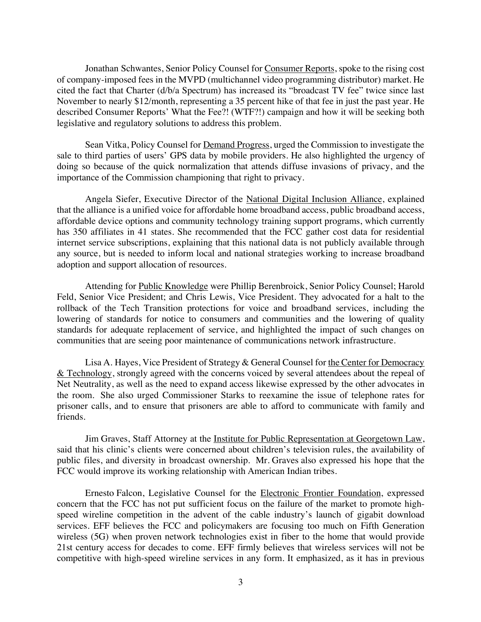Jonathan Schwantes, Senior Policy Counsel for Consumer Reports, spoke to the rising cost of company-imposed fees in the MVPD (multichannel video programming distributor) market. He cited the fact that Charter (d/b/a Spectrum) has increased its "broadcast TV fee" twice since last November to nearly \$12/month, representing a 35 percent hike of that fee in just the past year. He described Consumer Reports' What the Fee?! (WTF?!) campaign and how it will be seeking both legislative and regulatory solutions to address this problem.

Sean Vitka, Policy Counsel for Demand Progress, urged the Commission to investigate the sale to third parties of users' GPS data by mobile providers. He also highlighted the urgency of doing so because of the quick normalization that attends diffuse invasions of privacy, and the importance of the Commission championing that right to privacy.

Angela Siefer, Executive Director of the National Digital Inclusion Alliance, explained that the alliance is a unified voice for affordable home broadband access, public broadband access, affordable device options and community technology training support programs, which currently has 350 affiliates in 41 states. She recommended that the FCC gather cost data for residential internet service subscriptions, explaining that this national data is not publicly available through any source, but is needed to inform local and national strategies working to increase broadband adoption and support allocation of resources.

Attending for Public Knowledge were Phillip Berenbroick, Senior Policy Counsel; Harold Feld, Senior Vice President; and Chris Lewis, Vice President. They advocated for a halt to the rollback of the Tech Transition protections for voice and broadband services, including the lowering of standards for notice to consumers and communities and the lowering of quality standards for adequate replacement of service, and highlighted the impact of such changes on communities that are seeing poor maintenance of communications network infrastructure.

Lisa A. Hayes, Vice President of Strategy & General Counsel for the Center for Democracy  $&$  Technology, strongly agreed with the concerns voiced by several attendees about the repeal of Net Neutrality, as well as the need to expand access likewise expressed by the other advocates in the room. She also urged Commissioner Starks to reexamine the issue of telephone rates for prisoner calls, and to ensure that prisoners are able to afford to communicate with family and friends.

Jim Graves, Staff Attorney at the Institute for Public Representation at Georgetown Law, said that his clinic's clients were concerned about children's television rules, the availability of public files, and diversity in broadcast ownership. Mr. Graves also expressed his hope that the FCC would improve its working relationship with American Indian tribes.

Ernesto Falcon, Legislative Counsel for the Electronic Frontier Foundation, expressed concern that the FCC has not put sufficient focus on the failure of the market to promote highspeed wireline competition in the advent of the cable industry's launch of gigabit download services. EFF believes the FCC and policymakers are focusing too much on Fifth Generation wireless (5G) when proven network technologies exist in fiber to the home that would provide 21st century access for decades to come. EFF firmly believes that wireless services will not be competitive with high-speed wireline services in any form. It emphasized, as it has in previous